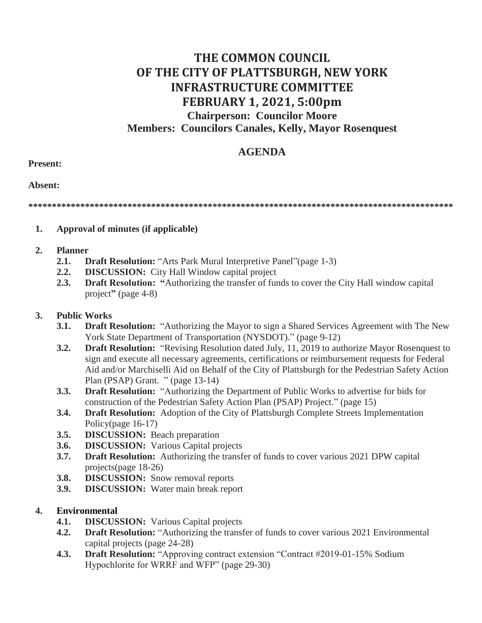# **THE COMMON COUNCIL OF THE CITY OF PLATTSBURGH, NEW YORK INFRASTRUCTURE COMMITTEE FEBRUARY 1, 2021, 5:00pm Chairperson: Councilor Moore Members: Councilors Canales, Kelly, Mayor Rosenquest**

## **AGENDA**

#### **Present:**

**Absent:**

**\*\*\*\*\*\*\*\*\*\*\*\*\*\*\*\*\*\*\*\*\*\*\*\*\*\*\*\*\*\*\*\*\*\*\*\*\*\*\*\*\*\*\*\*\*\*\*\*\*\*\*\*\*\*\*\*\*\*\*\*\*\*\*\*\*\*\*\*\*\*\*\*\*\*\*\*\*\*\*\*\*\*\*\*\*\*\*\*\*\***

#### **1. Approval of minutes (if applicable)**

#### **2. Planner**

- **2.1. Draft Resolution:** "Arts Park Mural Interpretive Panel"(page 1-3)
- **2.2. DISCUSSION:** City Hall Window capital project
- **2.3. Draft Resolution: "**Authorizing the transfer of funds to cover the City Hall window capital project**"** (page 4-8)

### **3. Public Works**

- **3.1. Draft Resolution:** "Authorizing the Mayor to sign a Shared Services Agreement with The New York State Department of Transportation (NYSDOT)." (page 9-12)
- **3.2. Draft Resolution:** "Revising Resolution dated July, 11, 2019 to authorize Mayor Rosenquest to sign and execute all necessary agreements, certifications or reimbursement requests for Federal Aid and/or Marchiselli Aid on Behalf of the City of Plattsburgh for the Pedestrian Safety Action Plan (PSAP) Grant. " (page 13-14)
- **3.3. Draft Resolution:** "Authorizing the Department of Public Works to advertise for bids for construction of the Pedestrian Safety Action Plan (PSAP) Project." (page 15)
- **3.4. Draft Resolution:** Adoption of the City of Plattsburgh Complete Streets Implementation Policy(page 16-17)
- **3.5. DISCUSSION:** Beach preparation
- **3.6. DISCUSSION:** Various Capital projects
- **3.7. Draft Resolution:** Authorizing the transfer of funds to cover various 2021 DPW capital projects(page 18-26)
- **3.8. DISCUSSION:** Snow removal reports
- **3.9. DISCUSSION:** Water main break report

### **4. Environmental**

- **4.1. DISCUSSION:** Various Capital projects
- **4.2. Draft Resolution:** "Authorizing the transfer of funds to cover various 2021 Environmental capital projects (page 24-28)
- **4.3. Draft Resolution:** "Approving contract extension "Contract #2019-01-15% Sodium Hypochlorite for WRRF and WFP" (page 29-30)